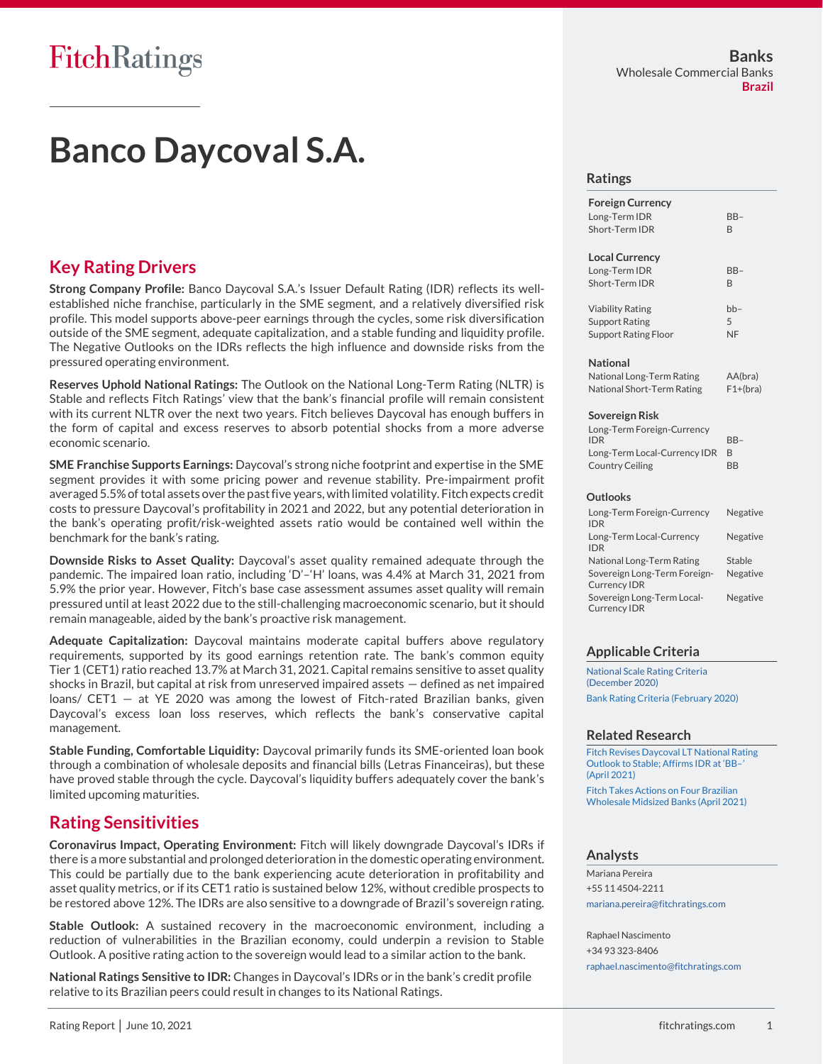# **Banco Daycoval S.A.**

## **Key Rating Drivers**

**Strong Company Profile:** Banco Daycoval S.A.'s Issuer Default Rating (IDR) reflects its wellestablished niche franchise, particularly in the SME segment, and a relatively diversified risk profile. This model supports above-peer earnings through the cycles, some risk diversification outside of the SME segment, adequate capitalization, and a stable funding and liquidity profile. The Negative Outlooks on the IDRs reflects the high influence and downside risks from the pressured operating environment.

**Reserves Uphold National Ratings:** The Outlook on the National Long-Term Rating (NLTR) is Stable and reflects Fitch Ratings' view that the bank's financial profile will remain consistent with its current NLTR over the next two years. Fitch believes Daycoval has enough buffers in the form of capital and excess reserves to absorb potential shocks from a more adverse economic scenario.

**SME Franchise Supports Earnings:** Daycoval's strong niche footprint and expertise in the SME segment provides it with some pricing power and revenue stability. Pre-impairment profit averaged 5.5% of total assets over the past five years, with limited volatility. Fitch expects credit costs to pressure Daycoval's profitability in 2021 and 2022, but any potential deterioration in the bank's operating profit/risk-weighted assets ratio would be contained well within the benchmark for the bank's rating.

**Downside Risks to Asset Quality:** Daycoval's asset quality remained adequate through the pandemic. The impaired loan ratio, including 'D'–'H' loans, was 4.4% at March 31, 2021 from 5.9% the prior year. However, Fitch's base case assessment assumes asset quality will remain pressured until at least 2022 due to the still-challenging macroeconomic scenario, but it should remain manageable, aided by the bank's proactive risk management.

**Adequate Capitalization:** Daycoval maintains moderate capital buffers above regulatory requirements, supported by its good earnings retention rate. The bank's common equity Tier 1 (CET1) ratio reached 13.7% at March 31, 2021. Capital remains sensitive to asset quality shocks in Brazil, but capital at risk from unreserved impaired assets — defined as net impaired loans/ CET1 — at YE 2020 was among the lowest of Fitch-rated Brazilian banks, given Daycoval's excess loan loss reserves, which reflects the bank's conservative capital management.

**Stable Funding, Comfortable Liquidity:** Daycoval primarily funds its SME-oriented loan book through a combination of wholesale deposits and financial bills (Letras Financeiras), but these have proved stable through the cycle. Daycoval's liquidity buffers adequately cover the bank's limited upcoming maturities.

## **Rating Sensitivities**

**Coronavirus Impact, Operating Environment:** Fitch will likely downgrade Daycoval's IDRs if there is a more substantial and prolonged deterioration in the domestic operating environment. This could be partially due to the bank experiencing acute deterioration in profitability and asset quality metrics, or if its CET1 ratio is sustained below 12%, without credible prospects to be restored above 12%. The IDRs are also sensitive to a downgrade of Brazil's sovereign rating.

**Stable Outlook:** A sustained recovery in the macroeconomic environment, including a reduction of vulnerabilities in the Brazilian economy, could underpin a revision to Stable Outlook. A positive rating action to the sovereign would lead to a similar action to the bank.

**National Ratings Sensitive to IDR:** Changes in Daycoval's IDRs or in the bank's credit profile relative to its Brazilian peers could result in changes to its National Ratings.

#### **Ratings**

| <b>Foreign Currency</b>                                                                                                    |                       |
|----------------------------------------------------------------------------------------------------------------------------|-----------------------|
| Long-Term IDR                                                                                                              | $BB-$                 |
| Short-Term IDR                                                                                                             | <sub>R</sub>          |
| <b>Local Currency</b>                                                                                                      |                       |
| Long-Term IDR                                                                                                              | $BB-$                 |
| Short-Term IDR                                                                                                             | R                     |
| <b>Viability Rating</b>                                                                                                    | $bb-$                 |
| <b>Support Rating</b>                                                                                                      | 5                     |
| <b>Support Rating Floor</b>                                                                                                | <b>NF</b>             |
| <b>National</b><br>National Long-Term Rating<br>National Short-Term Rating<br>Sovereign Risk<br>Long-Term Foreign-Currency | AA(bra)<br>$F1+(bra)$ |
| <b>IDR</b>                                                                                                                 | $BB-$                 |
| Long-Term Local-Currency IDR                                                                                               | R                     |
| <b>Country Ceiling</b>                                                                                                     | <b>BB</b>             |
| Outlooks                                                                                                                   |                       |
| Long-Term Foreign-Currency<br><b>IDR</b>                                                                                   | Negative              |
| Long-Term Local-Currency<br><b>IDR</b>                                                                                     | Negative              |
| National Long-Term Rating                                                                                                  | <b>Stable</b>         |
| Sovereign Long-Term Foreign-<br><b>Currency IDR</b>                                                                        | Negative              |

Sovereign Long-Term Local-Currency IDR Negative

#### **Applicable Criteria**

[National Scale Rating Criteria](https://app.fitchconnect.com/search/research/article/RPT_10146648)  [\(December 2020\)](https://app.fitchconnect.com/search/research/article/RPT_10146648) [Bank Rating Criteria \(February 2020\)](https://app.fitchconnect.com/search/research/article/RPT_10110041)

#### **Related Research**

[Fitch Revises Daycoval LT National Rating](https://app.fitchconnect.com/search/research/article/PR_10161121)  [Outlook to Stable; Affirms IDR at 'BB–'](https://app.fitchconnect.com/search/research/article/PR_10161121)  [\(April 2021\)](https://app.fitchconnect.com/search/research/article/PR_10161121)

[Fitch Takes Actions on Four Brazilian](https://app.fitchconnect.com/search/research/article/PR_10161267)  [Wholesale Midsized Banks \(April 2021\)](https://app.fitchconnect.com/search/research/article/PR_10161267)

#### **Analysts**

Mariana Pereira +55 11 4504-2211 [mariana.pereira@fitchratings.com](mailto:mariana.pereira@fitchratings.com)

Raphael Nascimento +34 93 323-8406 [raphael.nascimento@fitchratings.com](mailto:raphael.nascimento@fitchratings.com)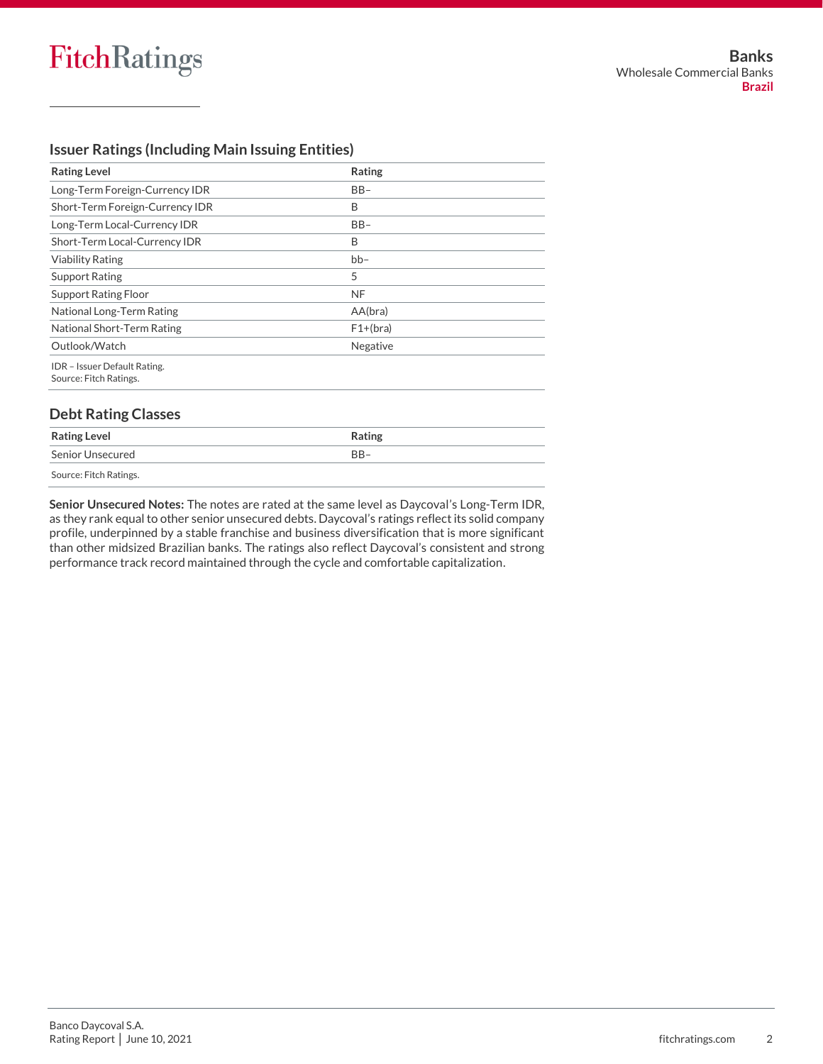Source: Fitch Ratings.

#### **Issuer Ratings (Including Main Issuing Entities)**

| <b>Rating Level</b>                                    | Rating     |  |
|--------------------------------------------------------|------------|--|
| Long-Term Foreign-Currency IDR                         | $BB-$      |  |
| Short-Term Foreign-Currency IDR                        | B          |  |
| Long-Term Local-Currency IDR                           | $BB-$      |  |
| Short-Term Local-Currency IDR                          | B          |  |
| <b>Viability Rating</b>                                | $bb-$      |  |
| <b>Support Rating</b>                                  | 5          |  |
| <b>Support Rating Floor</b>                            | <b>NF</b>  |  |
| National Long-Term Rating                              | AA(bra)    |  |
| National Short-Term Rating                             | $F1+(bra)$ |  |
| Outlook/Watch                                          | Negative   |  |
| IDR - Issuer Default Rating.<br>Source: Fitch Ratings. |            |  |
| <b>Debt Rating Classes</b>                             |            |  |
| <b>Rating Level</b>                                    | Rating     |  |
| Senior Unsecured                                       | $BB-$      |  |

**Senior Unsecured Notes:** The notes are rated at the same level as Daycoval's Long-Term IDR, as they rank equal to other senior unsecured debts. Daycoval's ratings reflect its solid company profile, underpinned by a stable franchise and business diversification that is more significant than other midsized Brazilian banks. The ratings also reflect Daycoval's consistent and strong

performance track record maintained through the cycle and comfortable capitalization.

Banco Daycoval S.A. Rating Report │ June 10, 2021 fitchratings.com 2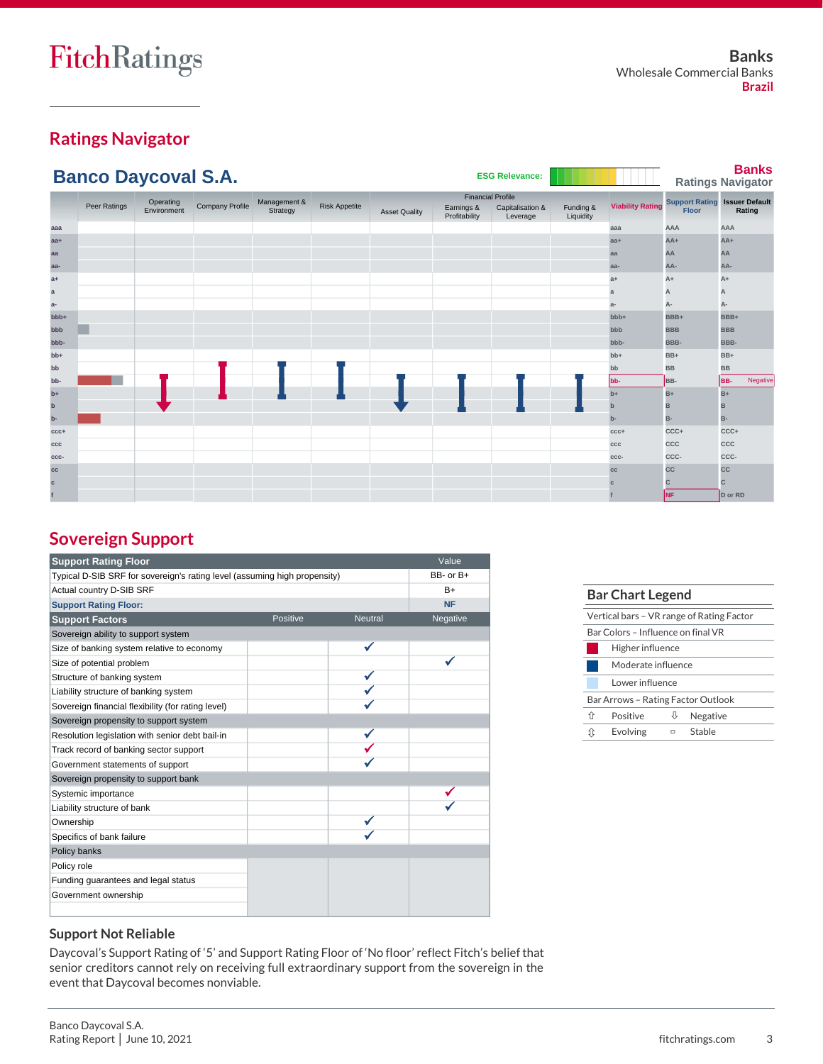## **Ratings Navigator**

|              | <b>Banco Daycoval S.A.</b> |                          |                        |                          |                      |                      |                                                         | <b>ESG Relevance:</b>        |                        |                         |                                                      | <b>Banks</b><br><b>Ratings Navigator</b> |
|--------------|----------------------------|--------------------------|------------------------|--------------------------|----------------------|----------------------|---------------------------------------------------------|------------------------------|------------------------|-------------------------|------------------------------------------------------|------------------------------------------|
|              | Peer Ratings               | Operating<br>Environment | <b>Company Profile</b> | Management &<br>Strategy | <b>Risk Appetite</b> | <b>Asset Quality</b> | <b>Financial Profile</b><br>Earnings &<br>Profitability | Capitalisation &<br>Leverage | Funding &<br>Liquidity | <b>Viability Rating</b> | <b>Support Rating Issuer Default</b><br><b>Floor</b> | Rating                                   |
| aaa          |                            |                          |                        |                          |                      |                      |                                                         |                              |                        | aaa                     | AAA                                                  | AAA                                      |
| $aa+$        |                            |                          |                        |                          |                      |                      |                                                         |                              |                        | $aa+$                   | $AA+$                                                | AA+                                      |
| aa           |                            |                          |                        |                          |                      |                      |                                                         |                              |                        | aa                      | AA                                                   | AA                                       |
| aa-          |                            |                          |                        |                          |                      |                      |                                                         |                              |                        | aa-                     | AA-                                                  | AA-                                      |
| $a+$         |                            |                          |                        |                          |                      |                      |                                                         |                              |                        | $a+$                    | $A+$                                                 | $A+$                                     |
| $\mathbf{a}$ |                            |                          |                        |                          |                      |                      |                                                         |                              |                        | a                       | А                                                    | А                                        |
| $a-$         |                            |                          |                        |                          |                      |                      |                                                         |                              |                        | $a-$                    | A-                                                   | А-                                       |
| bbb+         |                            |                          |                        |                          |                      |                      |                                                         |                              |                        | $bbb +$                 | BBB+                                                 | BBB+                                     |
| bbb          |                            |                          |                        |                          |                      |                      |                                                         |                              |                        | bbb                     | <b>BBB</b>                                           | <b>BBB</b>                               |
| bbb-         |                            |                          |                        |                          |                      |                      |                                                         |                              |                        | bbb-                    | BBB-                                                 | BBB-                                     |
| $+dd$        |                            |                          |                        |                          |                      |                      |                                                         |                              |                        | $bb+$                   | BB+                                                  | BB+                                      |
| bb           |                            |                          |                        |                          |                      |                      |                                                         |                              |                        | bb                      | <b>BB</b>                                            | <b>BB</b>                                |
| bb-          |                            |                          |                        |                          |                      |                      |                                                         |                              |                        | bb-                     | BB-                                                  | BB-<br>Negative                          |
| $b+$         |                            |                          |                        |                          |                      |                      |                                                         |                              |                        | $b+$                    | $B+$                                                 | $B+$                                     |
| $\mathbf b$  |                            |                          |                        |                          |                      |                      |                                                         |                              |                        | $\mathbf b$             | B                                                    | B                                        |
| b-           |                            |                          |                        |                          |                      |                      |                                                         |                              |                        | $b -$                   | B-                                                   | B-                                       |
| $CCC +$      |                            |                          |                        |                          |                      |                      |                                                         |                              |                        | $CCC +$                 | CCC+                                                 | CCC+                                     |
| ccc          |                            |                          |                        |                          |                      |                      |                                                         |                              |                        | ccc                     | CCC                                                  | CCC                                      |
| CCC-         |                            |                          |                        |                          |                      |                      |                                                         |                              |                        | CCC-                    | CCC-                                                 | CCC-                                     |
| cc           |                            |                          |                        |                          |                      |                      |                                                         |                              |                        | cc                      | CC                                                   | cc                                       |
| c            |                            |                          |                        |                          |                      |                      |                                                         |                              |                        |                         | C.                                                   | $\mathsf{C}$                             |
|              |                            |                          |                        |                          |                      |                      |                                                         |                              |                        |                         | NF                                                   | D or RD                                  |

## **Sovereign Support**

| <b>Support Rating Floor</b>                                               |           |                | Value     |
|---------------------------------------------------------------------------|-----------|----------------|-----------|
| Typical D-SIB SRF for sovereign's rating level (assuming high propensity) | BB- or B+ |                |           |
| Actual country D-SIB SRF                                                  | $B+$      |                |           |
| <b>Support Rating Floor:</b>                                              |           |                | <b>NF</b> |
| <b>Support Factors</b>                                                    | Positive  | <b>Neutral</b> | Negative  |
| Sovereign ability to support system                                       |           |                |           |
| Size of banking system relative to economy                                |           |                |           |
| Size of potential problem                                                 |           |                |           |
| Structure of banking system                                               |           |                |           |
| Liability structure of banking system                                     |           |                |           |
| Sovereign financial flexibility (for rating level)                        |           |                |           |
| Sovereign propensity to support system                                    |           |                |           |
| Resolution legislation with senior debt bail-in                           |           |                |           |
| Track record of banking sector support                                    |           |                |           |
| Government statements of support                                          |           |                |           |
| Sovereign propensity to support bank                                      |           |                |           |
| Systemic importance                                                       |           |                |           |
| Liability structure of bank                                               |           |                |           |
| Ownership                                                                 |           |                |           |
| Specifics of bank failure                                                 |           |                |           |
| Policy banks                                                              |           |                |           |
| Policy role                                                               |           |                |           |
| Funding guarantees and legal status                                       |           |                |           |
| Government ownership                                                      |           |                |           |
|                                                                           |           |                |           |

| <b>Bar Chart Legend</b>            |          |   |                                           |  |  |
|------------------------------------|----------|---|-------------------------------------------|--|--|
|                                    |          |   | Vertical bars - VR range of Rating Factor |  |  |
| Bar Colors - Influence on final VR |          |   |                                           |  |  |
| Higher influence                   |          |   |                                           |  |  |
| Moderate influence                 |          |   |                                           |  |  |
| Lower influence                    |          |   |                                           |  |  |
| Bar Arrows - Rating Factor Outlook |          |   |                                           |  |  |
| ⇑                                  | Positive |   | Negative                                  |  |  |
| ⇧                                  | Evolving | ▭ | Stable                                    |  |  |
|                                    |          |   |                                           |  |  |

#### **Support Not Reliable**

Daycoval's Support Rating of '5' and Support Rating Floor of 'No floor' reflect Fitch's belief that senior creditors cannot rely on receiving full extraordinary support from the sovereign in the event that Daycoval becomes nonviable.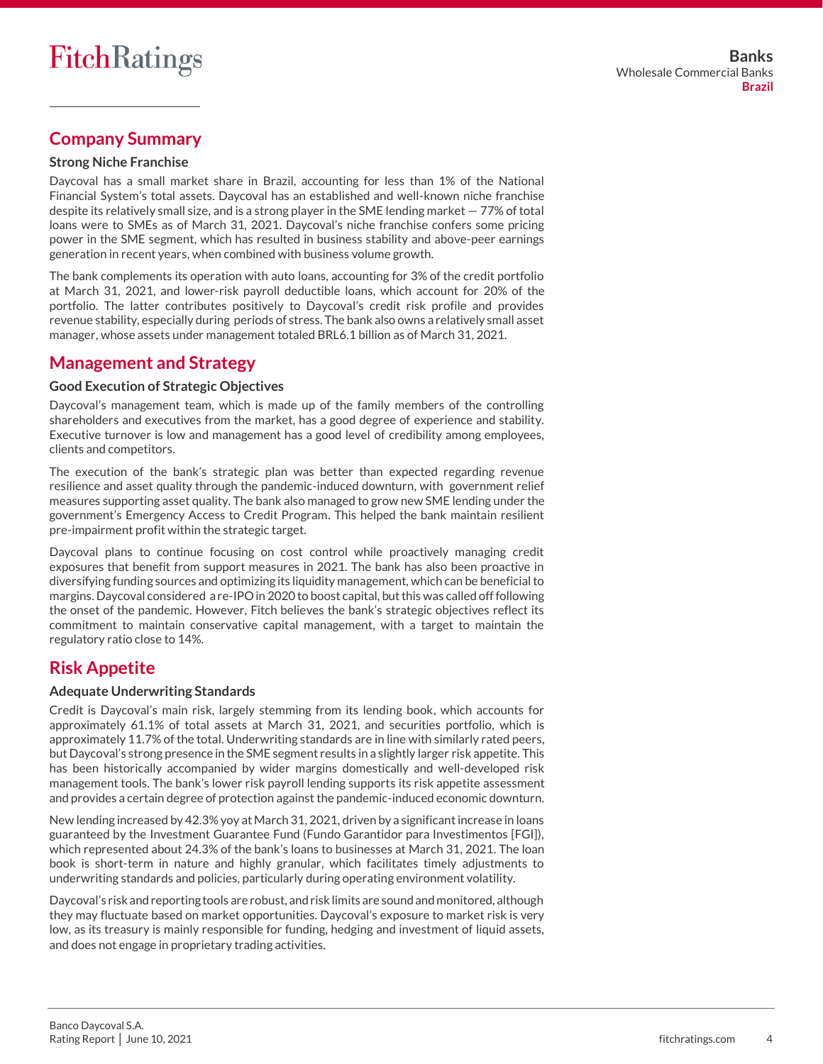## **Company Summary**

#### **Strong Niche Franchise**

Daycoval has a small market share in Brazil, accounting for less than 1% of the National Financial System's total assets. Daycoval has an established and well-known niche franchise despite its relatively small size, and is a strong player in the SME lending market  $-77%$  of total loans were to SMEs as of March 31, 2021. Daycoval's niche franchise confers some pricing power in the SME segment, which has resulted in business stability and above-peer earnings generation in recent years, when combined with business volume growth.

The bank complements its operation with auto loans, accounting for 3% of the credit portfolio at March 31, 2021, and lower-risk payroll deductible loans, which account for 20% of the portfolio. The latter contributes positively to Daycoval's credit risk profile and provides revenue stability, especially during periods of stress. The bank also owns a relatively small asset manager, whose assets under management totaled BRL6.1 billion as of March 31, 2021.

## **Management and Strategy**

#### **Good Execution of Strategic Objectives**

Daycoval's management team, which is made up of the family members of the controlling shareholders and executives from the market, has a good degree of experience and stability. Executive turnover is low and management has a good level of credibility among employees, clients and competitors.

The execution of the bank's strategic plan was better than expected regarding revenue resilience and asset quality through the pandemic-induced downturn, with government relief measures supporting asset quality. The bank also managed to grow new SME lending under the government's Emergency Access to Credit Program. This helped the bank maintain resilient pre-impairment profit within the strategic target.

Daycoval plans to continue focusing on cost control while proactively managing credit exposures that benefit from support measures in 2021. The bank has also been proactive in diversifying funding sources and optimizing its liquidity management, which can be beneficial to margins. Daycoval considered a re-IPO in 2020 to boost capital, but this was called off following the onset of the pandemic. However, Fitch believes the bank's strategic objectives reflect its commitment to maintain conservative capital management, with a target to maintain the regulatory ratio close to 14%.

## **Risk Appetite**

#### **Adequate Underwriting Standards**

Credit is Daycoval's main risk, largely stemming from its lending book, which accounts for approximately 61.1% of total assets at March 31, 2021, and securities portfolio, which is approximately 11.7% of the total. Underwriting standards are in line with similarly rated peers, but Daycoval's strong presence in the SME segment results in a slightly larger risk appetite. This has been historically accompanied by wider margins domestically and well-developed risk management tools. The bank's lower risk payroll lending supports its risk appetite assessment and provides a certain degree of protection against the pandemic-induced economic downturn.

New lending increased by 42.3% yoy at March 31, 2021, driven by a significant increase in loans guaranteed by the Investment Guarantee Fund (Fundo Garantidor para Investimentos [FGI]), which represented about 24.3% of the bank's loans to businesses at March 31, 2021. The loan book is short-term in nature and highly granular, which facilitates timely adjustments to underwriting standards and policies, particularly during operating environment volatility.

Daycoval's risk and reporting tools are robust, and risk limits are sound and monitored, although they may fluctuate based on market opportunities. Daycoval's exposure to market risk is very low, as its treasury is mainly responsible for funding, hedging and investment of liquid assets, and does not engage in proprietary trading activities.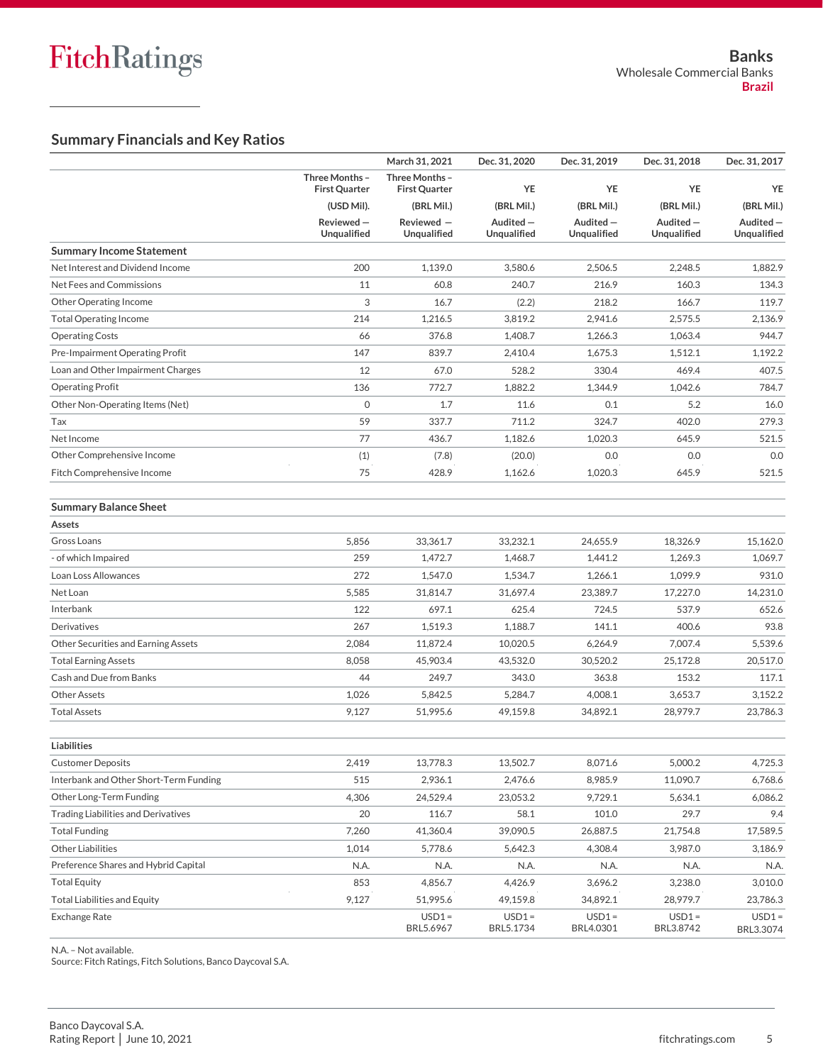### **Summary Financials and Key Ratios**

|                                            |                                        | March 31, 2021                         | Dec. 31, 2020            | Dec. 31, 2019           | Dec. 31, 2018                  | Dec. 31, 2017              |
|--------------------------------------------|----------------------------------------|----------------------------------------|--------------------------|-------------------------|--------------------------------|----------------------------|
|                                            | Three Months -<br><b>First Quarter</b> | Three Months -<br><b>First Quarter</b> | <b>YE</b>                | YE                      | YE                             | YE                         |
|                                            | (USD Mil).                             | (BRL Mil.)                             | (BRL Mil.)               | (BRL Mil.)              | (BRL Mil.)                     | (BRL Mil.)                 |
|                                            | Reviewed-<br>Unqualified               | Reviewed -<br>Unqualified              | Audited -<br>Unqualified | Audited-<br>Unqualified | Audited-<br><b>Unqualified</b> | Audited $-$<br>Unqualified |
| <b>Summary Income Statement</b>            |                                        |                                        |                          |                         |                                |                            |
| Net Interest and Dividend Income           | 200                                    | 1,139.0                                | 3,580.6                  | 2,506.5                 | 2,248.5                        | 1,882.9                    |
| Net Fees and Commissions                   | 11                                     | 60.8                                   | 240.7                    | 216.9                   | 160.3                          | 134.3                      |
| Other Operating Income                     | 3                                      | 16.7                                   | (2.2)                    | 218.2                   | 166.7                          | 119.7                      |
| <b>Total Operating Income</b>              | 214                                    | 1,216.5                                | 3,819.2                  | 2,941.6                 | 2,575.5                        | 2,136.9                    |
| <b>Operating Costs</b>                     | 66                                     | 376.8                                  | 1,408.7                  | 1,266.3                 | 1,063.4                        | 944.7                      |
| Pre-Impairment Operating Profit            | 147                                    | 839.7                                  | 2,410.4                  | 1,675.3                 | 1,512.1                        | 1,192.2                    |
| Loan and Other Impairment Charges          | 12                                     | 67.0                                   | 528.2                    | 330.4                   | 469.4                          | 407.5                      |
| <b>Operating Profit</b>                    | 136                                    | 772.7                                  | 1,882.2                  | 1,344.9                 | 1,042.6                        | 784.7                      |
| Other Non-Operating Items (Net)            | $\mathbf 0$                            | 1.7                                    | 11.6                     | 0.1                     | 5.2                            | 16.0                       |
| Tax                                        | 59                                     | 337.7                                  | 711.2                    | 324.7                   | 402.0                          | 279.3                      |
| Net Income                                 | 77                                     | 436.7                                  | 1,182.6                  | 1,020.3                 | 645.9                          | 521.5                      |
| Other Comprehensive Income                 | (1)                                    | (7.8)                                  | (20.0)                   | 0.0                     | 0.0                            | 0.0                        |
| Fitch Comprehensive Income                 | 75                                     | 428.9                                  | 1.162.6                  | 1,020.3                 | 645.9                          | 521.5                      |
| <b>Summary Balance Sheet</b>               |                                        |                                        |                          |                         |                                |                            |
| Assets                                     |                                        |                                        |                          |                         |                                |                            |
| Gross Loans                                | 5,856                                  | 33,361.7                               | 33,232.1                 | 24,655.9                | 18.326.9                       | 15,162.0                   |
| - of which Impaired                        | 259                                    | 1,472.7                                | 1,468.7                  | 1,441.2                 | 1,269.3                        | 1,069.7                    |
| Loan Loss Allowances                       | 272                                    | 1,547.0                                | 1,534.7                  | 1,266.1                 | 1,099.9                        | 931.0                      |
| Net Loan                                   | 5,585                                  | 31,814.7                               | 31,697.4                 | 23,389.7                | 17,227.0                       | 14,231.0                   |
| Interbank                                  | 122                                    | 697.1                                  | 625.4                    | 724.5                   | 537.9                          | 652.6                      |
| Derivatives                                | 267                                    | 1,519.3                                | 1,188.7                  | 141.1                   | 400.6                          | 93.8                       |
| Other Securities and Earning Assets        | 2,084                                  | 11,872.4                               | 10,020.5                 | 6,264.9                 | 7,007.4                        | 5,539.6                    |
| <b>Total Earning Assets</b>                | 8,058                                  | 45,903.4                               | 43,532.0                 | 30,520.2                | 25,172.8                       | 20,517.0                   |
| Cash and Due from Banks                    | 44                                     | 249.7                                  | 343.0                    | 363.8                   | 153.2                          | 117.1                      |
| <b>Other Assets</b>                        | 1,026                                  | 5,842.5                                | 5,284.7                  | 4,008.1                 | 3,653.7                        | 3,152.2                    |
| <b>Total Assets</b>                        | 9,127                                  | 51,995.6                               | 49,159.8                 | 34,892.1                | 28,979.7                       | 23,786.3                   |
| Liabilities                                |                                        |                                        |                          |                         |                                |                            |
| <b>Customer Deposits</b>                   | 2,419                                  | 13,778.3                               | 13,502.7                 | 8,071.6                 | 5,000.2                        | 4,725.3                    |
| Interbank and Other Short-Term Funding     | 515                                    | 2,936.1                                | 2,476.6                  | 8,985.9                 | 11,090.7                       | 6,768.6                    |
| Other Long-Term Funding                    | 4,306                                  | 24,529.4                               | 23,053.2                 | 9,729.1                 | 5,634.1                        | 6,086.2                    |
| <b>Trading Liabilities and Derivatives</b> | 20                                     | 116.7                                  | 58.1                     | 101.0                   | 29.7                           | 9.4                        |
| <b>Total Funding</b>                       | 7,260                                  | 41,360.4                               | 39,090.5                 | 26,887.5                | 21,754.8                       | 17,589.5                   |
| <b>Other Liabilities</b>                   | 1,014                                  | 5,778.6                                | 5,642.3                  | 4,308.4                 | 3,987.0                        | 3,186.9                    |
| Preference Shares and Hybrid Capital       | N.A.                                   | N.A.                                   | N.A.                     | N.A.                    | N.A.                           | N.A.                       |
| <b>Total Equity</b>                        | 853                                    | 4,856.7                                | 4,426.9                  | 3,696.2                 | 3,238.0                        | 3,010.0                    |
| <b>Total Liabilities and Equity</b>        | 9,127                                  | 51,995.6                               | 49,159.8                 | 34,892.1                | 28,979.7                       | 23,786.3                   |
| Exchange Rate                              |                                        | $USD1 =$<br>BRL5.6967                  | $USD1 =$<br>BRL5.1734    | $USD1 =$<br>BRL4.0301   | $USD1 =$<br>BRL3.8742          | $USD1 =$<br>BRL3.3074      |
|                                            |                                        |                                        |                          |                         |                                |                            |

N.A. – Not available.

Source: Fitch Ratings, Fitch Solutions, Banco Daycoval S.A.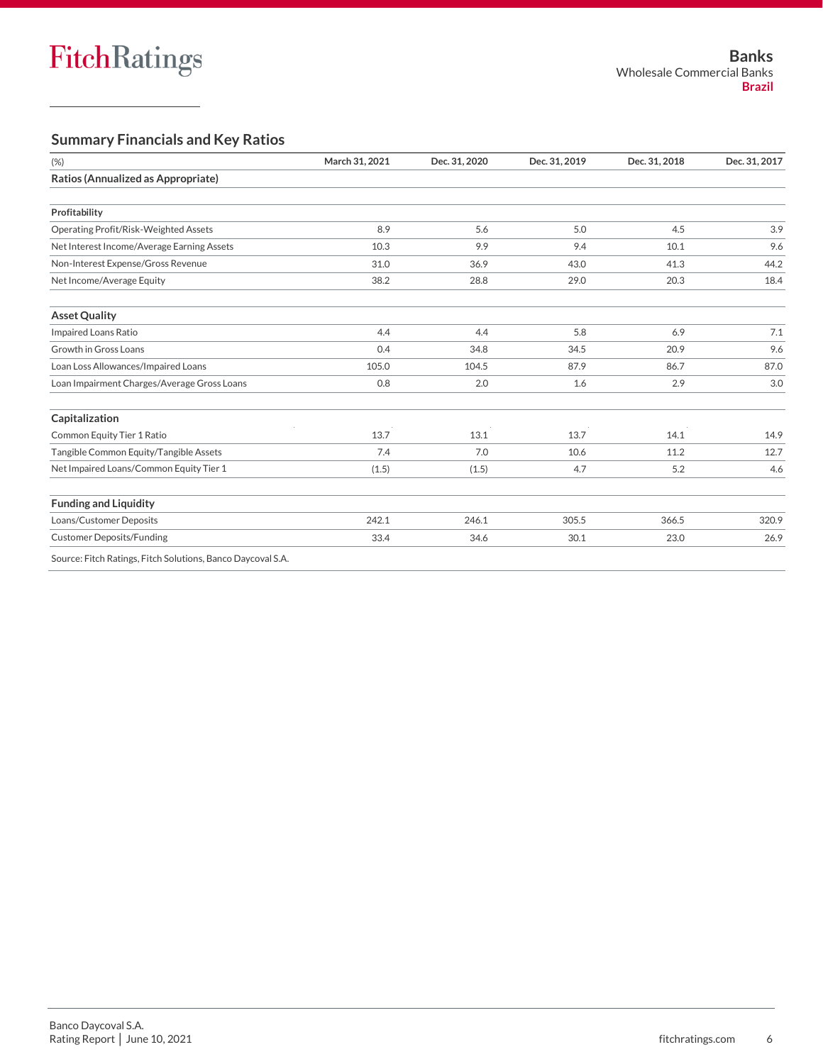#### **Summary Financials and Key Ratios**

| (% )                                                        | March 31, 2021 | Dec. 31, 2020 | Dec. 31, 2019 | Dec. 31, 2018 | Dec. 31, 2017 |
|-------------------------------------------------------------|----------------|---------------|---------------|---------------|---------------|
| Ratios (Annualized as Appropriate)                          |                |               |               |               |               |
| Profitability                                               |                |               |               |               |               |
| Operating Profit/Risk-Weighted Assets                       | 8.9            | 5.6           | 5.0           | 4.5           | 3.9           |
| Net Interest Income/Average Earning Assets                  | 10.3           | 9.9           | 9.4           | 10.1          | 9.6           |
| Non-Interest Expense/Gross Revenue                          | 31.0           | 36.9          | 43.0          | 41.3          | 44.2          |
| Net Income/Average Equity                                   | 38.2           | 28.8          | 29.0          | 20.3          | 18.4          |
| <b>Asset Quality</b>                                        |                |               |               |               |               |
| Impaired Loans Ratio                                        | 4.4            | 4.4           | 5.8           | 6.9           | 7.1           |
| Growth in Gross Loans                                       | 0.4            | 34.8          | 34.5          | 20.9          | 9.6           |
| Loan Loss Allowances/Impaired Loans                         | 105.0          | 104.5         | 87.9          | 86.7          | 87.0          |
| Loan Impairment Charges/Average Gross Loans                 | 0.8            | 2.0           | 1.6           | 2.9           | 3.0           |
| Capitalization                                              |                |               |               |               |               |
| Common Equity Tier 1 Ratio                                  | 13.7           | 13.1          | 13.7          | 14.1          | 14.9          |
| Tangible Common Equity/Tangible Assets                      | 7.4            | 7.0           | 10.6          | 11.2          | 12.7          |
| Net Impaired Loans/Common Equity Tier 1                     | (1.5)          | (1.5)         | 4.7           | 5.2           | 4.6           |
| <b>Funding and Liquidity</b>                                |                |               |               |               |               |
| Loans/Customer Deposits                                     | 242.1          | 246.1         | 305.5         | 366.5         | 320.9         |
| <b>Customer Deposits/Funding</b>                            | 33.4           | 34.6          | 30.1          | 23.0          | 26.9          |
| Source: Fitch Ratings, Fitch Solutions, Banco Daycoval S.A. |                |               |               |               |               |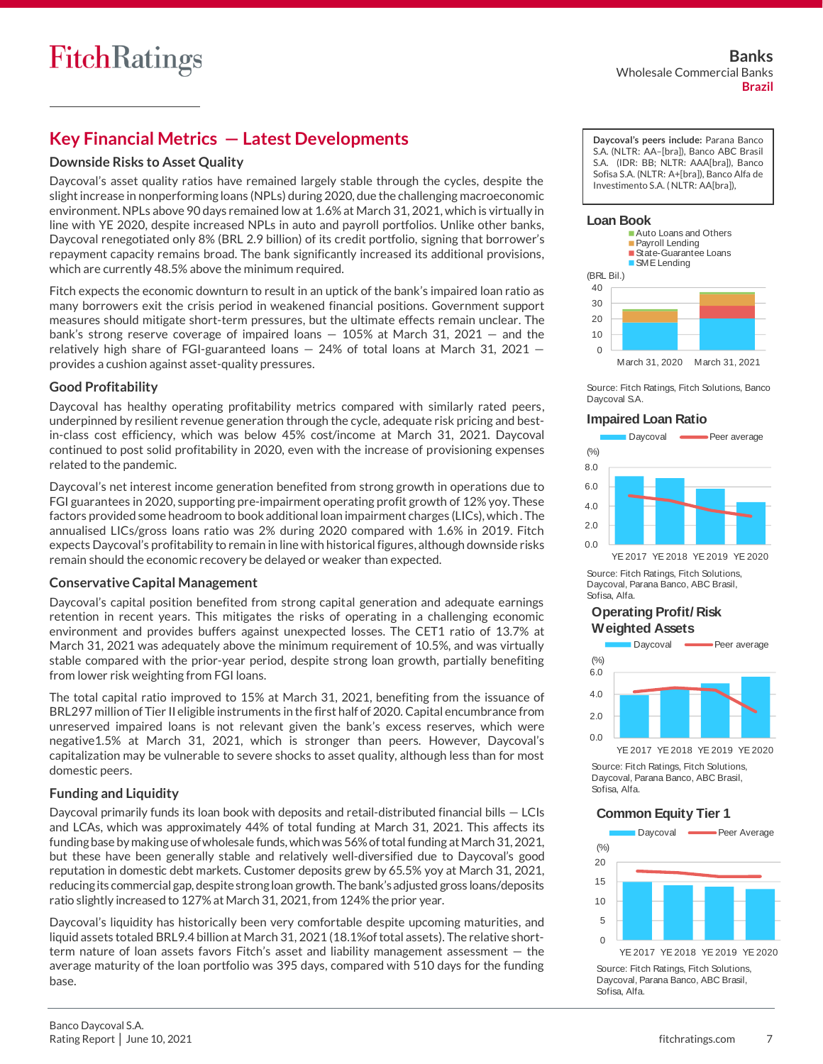## **Key Financial Metrics — Latest Developments**

#### **Downside Risks to Asset Quality**

Daycoval's asset quality ratios have remained largely stable through the cycles, despite the slight increase in nonperforming loans (NPLs) during 2020, due the challenging macroeconomic environment. NPLs above 90 days remained low at 1.6% at March 31, 2021, which is virtually in line with YE 2020, despite increased NPLs in auto and payroll portfolios. Unlike other banks, Daycoval renegotiated only 8% (BRL 2.9 billion) of its credit portfolio, signing that borrower's repayment capacity remains broad. The bank significantly increased its additional provisions, which are currently 48.5% above the minimum required.

Fitch expects the economic downturn to result in an uptick of the bank's impaired loan ratio as many borrowers exit the crisis period in weakened financial positions. Government support measures should mitigate short-term pressures, but the ultimate effects remain unclear. The bank's strong reserve coverage of impaired loans — 105% at March 31, 2021 — and the relatively high share of FGI-guaranteed loans  $-24\%$  of total loans at March 31, 2021  $$ provides a cushion against asset-quality pressures.

#### **Good Profitability**

Daycoval has healthy operating profitability metrics compared with similarly rated peers, underpinned by resilient revenue generation through the cycle, adequate risk pricing and bestin-class cost efficiency, which was below 45% cost/income at March 31, 2021. Daycoval continued to post solid profitability in 2020, even with the increase of provisioning expenses related to the pandemic.

Daycoval's net interest income generation benefited from strong growth in operations due to FGI guarantees in 2020, supporting pre-impairment operating profit growth of 12% yoy. These factors provided some headroom to book additional loan impairment charges (LICs), which . The annualised LICs/gross loans ratio was 2% during 2020 compared with 1.6% in 2019. Fitch expects Daycoval's profitability to remain in line with historical figures, although downside risks remain should the economic recovery be delayed or weaker than expected.

#### **Conservative Capital Management**

Daycoval's capital position benefited from strong capital generation and adequate earnings retention in recent years. This mitigates the risks of operating in a challenging economic environment and provides buffers against unexpected losses. The CET1 ratio of 13.7% at March 31, 2021 was adequately above the minimum requirement of 10.5%, and was virtually stable compared with the prior-year period, despite strong loan growth, partially benefiting from lower risk weighting from FGI loans.

The total capital ratio improved to 15% at March 31, 2021, benefiting from the issuance of BRL297 million of Tier II eligible instruments in the first half of 2020. Capital encumbrance from unreserved impaired loans is not relevant given the bank's excess reserves, which were negative1.5% at March 31, 2021, which is stronger than peers. However, Daycoval's capitalization may be vulnerable to severe shocks to asset quality, although less than for most domestic peers.

#### **Funding and Liquidity**

Daycoval primarily funds its loan book with deposits and retail-distributed financial bills — LCIs and LCAs, which was approximately 44% of total funding at March 31, 2021. This affects its funding base by making use of wholesale funds, which was 56% of total funding at March 31, 2021, but these have been generally stable and relatively well-diversified due to Daycoval's good reputation in domestic debt markets. Customer deposits grew by 65.5% yoy at March 31, 2021, reducing its commercial gap, despite strong loan growth. The bank's adjusted gross loans/deposits ratio slightly increased to 127% at March 31, 2021, from 124% the prior year.

Daycoval's liquidity has historically been very comfortable despite upcoming maturities, and liquid assets totaled BRL9.4 billion at March 31, 2021 (18.1%of total assets). The relative shortterm nature of loan assets favors Fitch's asset and liability management assessment — the average maturity of the loan portfolio was 395 days, compared with 510 days for the funding base.

**Daycoval's peers include:** Parana Banco S.A. (NLTR: AA–[bra]), Banco ABC Brasil S.A. (IDR: BB; NLTR: AAA[bra]), Banco Sofisa S.A. (NLTR: A+[bra]), Banco Alfa de Investimento S.A. ( NLTR: AA[bra]),

#### **Loan Book**



Source: Fitch Ratings, Fitch Solutions, Banco Daycoval S.A.

#### **Impaired Loan Ratio**



YE 2017 YE 2018 YE 2019 YE 2020

Source: Fitch Ratings, Fitch Solutions, Daycoval, Parana Banco, ABC Brasil, Sofisa, Alfa.

#### **Operating Profit/ Risk Weighted Assets**



Source: Fitch Ratings, Fitch Solutions, Daycoval, Parana Banco, ABC Brasil, Sofisa, Alfa.

#### **Common Equity Tier 1**



Source: Fitch Ratings, Fitch Solutions, Daycoval, Parana Banco, ABC Brasil, Sofisa, Alfa.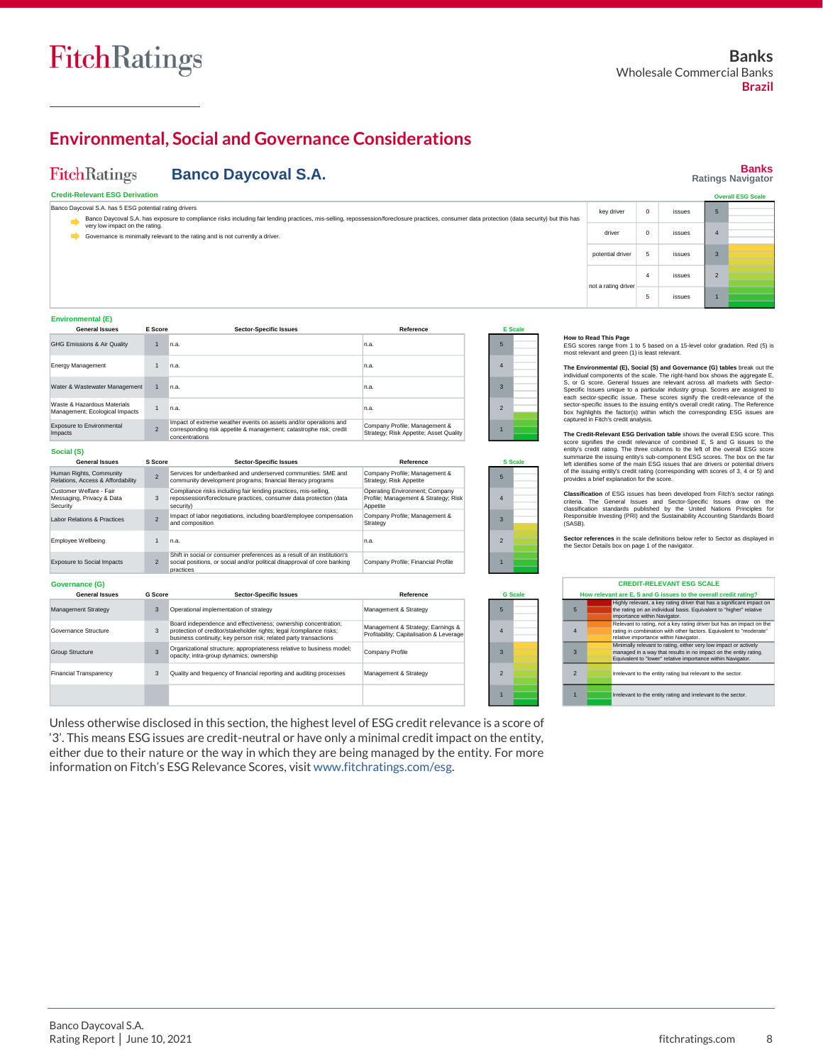**FitchRatings** 

**Banks Ratings Navigator**

## **Environmental, Social and Governance Considerations**

**Banco Daycoval S.A.**

#### **Credit-Relevant ESG Derivation Environmental (E) Social (S) Governance (G) Sector-Specific Issues** n.a. 1 n.a. 1 n.a. 1 n.a. 1 Impact of extreme weather events on assets and/or operations and corresponding risk appetite & management; catastrophe risk; credit concentrations **General Issues** GHG Emissions & Air Quality Energy Management Water & Wastewater Management Waste & Hazardous Materials Management; Ecological Impacts Exposure to Environmental Impacts 2 Management Strategy Governance Structure Group Structure **General Issues** Operational implementation of strategy Board independence and effectiveness; ownership concentration; protection of creditor/stakeholder rights; legal /compliance risks; business continuity; key person risk; related party transactions Organizational structure; appropriateness relative to business model; opacity; intra-group dynamics; ownership **Sector-Specific Issues** 3 **How to Read This Page**<br>ESG scores range from 1 to 5 based on a 15-level color gradation. Red (5) is<br>most relevant and green (1) is least relevant. The Environmental (E), Social (S) and Governance (G) tables break out the<br>findividual components of the scale. The right-hand box shows the aggregate E,<br>S, or G score. General Issues are relevant across all markets with Se captured in Fitch's credit analysis. The Credit-Relevant ESG Derivation table shows the overall ESG score. This<br>core signifies the credit relevance of combined E, S and G issues to the<br>entity's credit rating. The three columns to the left of the overall ESG s **Classification** of ESG issues has been developed from Fitch's sector ratings criteria. The General Issues and Sector-Specific Issues draw on the<br>classification standards published by the United Nations Principles for<br>Responsible Investing (PRI) and the Sustainability Accounting Standards Board (SASB). **Sector references** in the scale definitions below refer to Sector as displayed in the Sector Details box on page 1 of the navigator. 5 4 3 2 1 **CREDIT-RELEVANT ESG SCALE How relevant are E, S and G issues to the overall credit rating?** 5 Highly relevant, a key rating driver that has a significant impact on the rating on an individual basis. Equivalent to "higher" relative importance within Navigator. 4 Relevant to rating, not a key rating driver but has an impact on the rating in combination with other factors. Equivalent to "moderate" relative importance within Navigator.<br>Minimally relevant to rating, either very low impact or actively<br>managed in a way that results in no impact on the entity rating.<br>Equivalent to "lower" relative importance within Navig 3 **Reference** 5 4 3 2 1 **E Scale** 5 4 3 Operating Environment; Company Profile; Management & Strategy; Risk Appetite n.a. n.a. n.a. n.a. Company Profile; Management & Strategy; Risk Appetite; Asset Quality Company Profile; Management & Strategy; Risk Appetite **Reference S S G Scale** 5 1 n.a. **S Score G Score Sector-Specific Issues** Services for underbanked and underserved communities: SME and community development programs; financial literacy programs Management & Strategy Management & Strategy; Earnings & Profitability; Capitalisation & Leverage 2 2 **Reference** ompany Profile Company Profile; Financial Profile Company Profile; Management & **Strategy** n.a. Impact of labor negotiations, including board/employee compensation and composition Shift in social or consumer preferences as a result of an institution's 2 Social positions, or social and/or political disapproval of core banking (Company Profile; Financial Profile (1990) 1 practices Human Rights, Community Relations, Access & Affordability Customer Welfare - Fair<br>Messaging, Privacy & Data<br>Security Labor Relations & Practices Employee Wellbeing Exposure to Social Impacts **General Issues** Compliance risks including fair lending practices, mis-selling, Derating Environment; Company<br>19 repossession/foreclosure practices, consumer data protection (data Profile; Management & Strategy; Risk 4<br>19 security) Governance is minimally relevant to the rating and is not currently a driver. **E Score** 3 2 3 3  $\rightarrow$ **Overall ESG Scale** not a rating drive 4 issues 5 issues Banco Daycoval S.A. has 5 ESG potential rating drivers Banco Daycoval S.A. has exposure to compliance risks including fair lending practices, mis-selling, repossession/foreclosure practices, consumer data protection (data security) but this has very low impact on the rating. key driver 0 issues driver 0 issues potential driver  $\begin{vmatrix} 5 \end{vmatrix}$  issues

Management & Strategy

Unless otherwise disclosed in this section, the highest level of ESG credit relevance is a score of '3'. This means ESG issues are credit-neutral or have only a minimal credit impact on the entity, either due to their nature or the way in which they are being managed by the entity. For more information on Fitch's ESG Relevance Scores, visi[t www.fitchratings.com/esg.](http://www.fitchratings.com/esg)

Quality and frequency of financial reporting and auditing processes

1 **IFRS IFRS IFRS 2018** Irrelevant to the entity rating and irrelevant to the sector. 2 Irrelevant to the entity rating but relevant to the sector

2 1

inancial Transparency

3